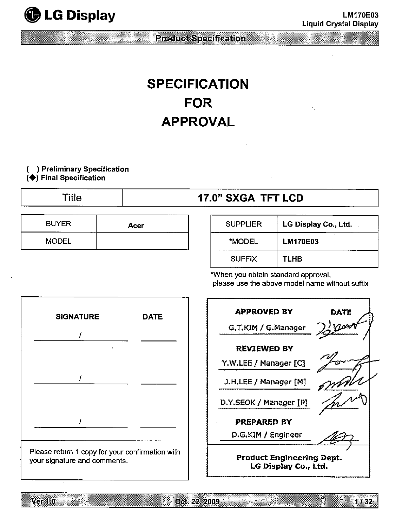

# **SPECIFICATION FOR APPROVAL**

# **( ) Preliminary Specification**

**(**◆**) Final Specification**

|  | ۱<br>НΙ |
|--|---------|
|  |         |

# e **17.0" SXGA TFT LCD**

| <b>BUYER</b> | Acer |
|--------------|------|
| <b>MODEL</b> |      |

| <b>SUPPLIER</b> | LG Display Co., Ltd. |
|-----------------|----------------------|
| *MODEL          | <b>LM170E03</b>      |
| <b>SUFFIX</b>   | <b>TLHB</b>          |

\*When you obtain standard approval,







Oct. 22, 2009

1 / 32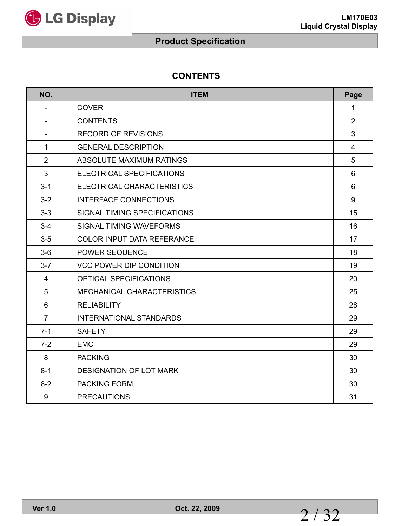

# **CONTENTS**

| NO.                      | <b>ITEM</b>                       | Page           |
|--------------------------|-----------------------------------|----------------|
| $\overline{\phantom{0}}$ | <b>COVER</b>                      | 1              |
|                          | <b>CONTENTS</b>                   | $\overline{2}$ |
| $\overline{\phantom{0}}$ | <b>RECORD OF REVISIONS</b>        | 3              |
| $\mathbf{1}$             | <b>GENERAL DESCRIPTION</b>        | $\overline{4}$ |
| $\overline{2}$           | ABSOLUTE MAXIMUM RATINGS          | 5              |
| 3                        | ELECTRICAL SPECIFICATIONS         | 6              |
| $3 - 1$                  | ELECTRICAL CHARACTERISTICS        | 6              |
| $3 - 2$                  | <b>INTERFACE CONNECTIONS</b>      | 9              |
| $3 - 3$                  | SIGNAL TIMING SPECIFICATIONS      | 15             |
| $3 - 4$                  | SIGNAL TIMING WAVEFORMS           | 16             |
| $3-5$                    | <b>COLOR INPUT DATA REFERANCE</b> | 17             |
| $3-6$                    | POWER SEQUENCE                    | 18             |
| $3 - 7$                  | <b>VCC POWER DIP CONDITION</b>    | 19             |
| $\overline{4}$           | OPTICAL SPECIFICATIONS            | 20             |
| 5                        | MECHANICAL CHARACTERISTICS        | 25             |
| 6                        | <b>RELIABILITY</b>                | 28             |
| $\overline{7}$           | <b>INTERNATIONAL STANDARDS</b>    | 29             |
| $7 - 1$                  | <b>SAFETY</b>                     | 29             |
| $7-2$                    | <b>EMC</b>                        | 29             |
| 8                        | <b>PACKING</b>                    | 30             |
| $8 - 1$                  | DESIGNATION OF LOT MARK           | 30             |
| $8 - 2$                  | <b>PACKING FORM</b>               | 30             |
| 9                        | <b>PRECAUTIONS</b>                | 31             |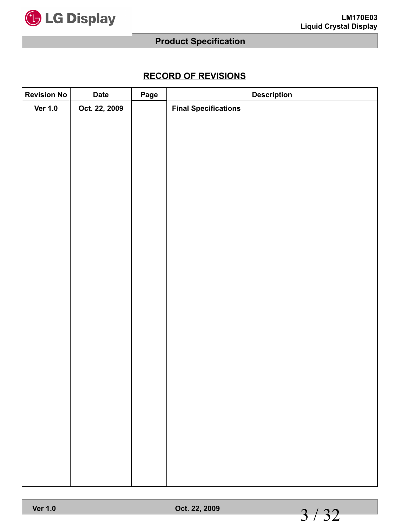

# **RECORD OF REVISIONS**

| <b>Revision No</b> | <b>Date</b>   | Page | <b>Description</b>          |
|--------------------|---------------|------|-----------------------------|
| <b>Ver 1.0</b>     | Oct. 22, 2009 |      | <b>Final Specifications</b> |
|                    |               |      |                             |
|                    |               |      |                             |
|                    |               |      |                             |
|                    |               |      |                             |
|                    |               |      |                             |
|                    |               |      |                             |
|                    |               |      |                             |
|                    |               |      |                             |
|                    |               |      |                             |
|                    |               |      |                             |
|                    |               |      |                             |
|                    |               |      |                             |
|                    |               |      |                             |
|                    |               |      |                             |
|                    |               |      |                             |
|                    |               |      |                             |
|                    |               |      |                             |
|                    |               |      |                             |
|                    |               |      |                             |
|                    |               |      |                             |
|                    |               |      |                             |
|                    |               |      |                             |
|                    |               |      |                             |
|                    |               |      |                             |
|                    |               |      |                             |
|                    |               |      |                             |
|                    |               |      |                             |

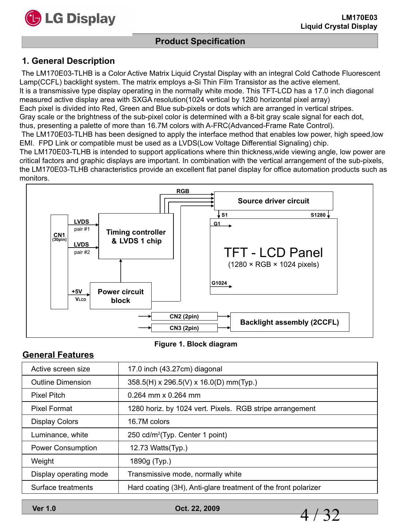

## **Product Specification**

#### **1. General Description**

The LM170E03-TLHB is a Color Active Matrix Liquid Crystal Display with an integral Cold Cathode Fluorescent Lamp(CCFL) backlight system. The matrix employs a-Si Thin Film Transistor as the active element. It is a transmissive type display operating in the normally white mode. This TFT-LCD has a 17.0 inch diagonal measured active display area with SXGA resolution(1024 vertical by 1280 horizontal pixel array) Each pixel is divided into Red, Green and Blue sub-pixels or dots which are arranged in vertical stripes. Gray scale or the brightness of the sub-pixel color is determined with a 8-bit gray scale signal for each dot, thus, presenting a palette of more than 16.7M colors with A-FRC(Advanced-Frame Rate Control). The LM170E03-TLHB has been designed to apply the interface method that enables low power, high speed,low EMI. FPD Link or compatible must be used as a LVDS(Low Voltage Differential Signaling) chip.

The LM170E03-TLHB is intended to support applications where thin thickness,wide viewing angle, low power are critical factors and graphic displays are important. In combination with the vertical arrangement of the sub-pixels, the LM170E03-TLHB characteristics provide an excellent flat panel display for office automation products such as monitors.



#### **Figure 1. Block diagram**

#### **General Features**

| Active screen size       | 17.0 inch (43.27cm) diagonal                                   |
|--------------------------|----------------------------------------------------------------|
| <b>Outline Dimension</b> | 358.5(H) x 296.5(V) x 16.0(D) mm(Typ.)                         |
| <b>Pixel Pitch</b>       | $0.264$ mm x 0.264 mm                                          |
| Pixel Format             | 1280 horiz. by 1024 vert. Pixels. RGB stripe arrangement       |
| <b>Display Colors</b>    | 16.7M colors                                                   |
| Luminance, white         | 250 cd/m <sup>2</sup> (Typ. Center 1 point)                    |
| <b>Power Consumption</b> | 12.73 Watts(Typ.)                                              |
| Weight                   | 1890g (Typ.)                                                   |
| Display operating mode   | Transmissive mode, normally white                              |
| Surface treatments       | Hard coating (3H), Anti-glare treatment of the front polarizer |

**Ver 1.0 Oct. 22, 2009**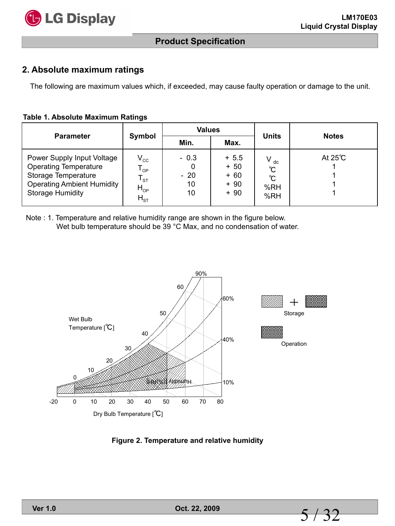

#### **2. Absolute maximum ratings**

The following are maximum values which, if exceeded, may cause faulty operation or damage to the unit.

#### **Table 1. Absolute Maximum Ratings**

| <b>Parameter</b>                                                                                                                                  |                                                                                                   | <b>Values</b>               |                                          | <b>Units</b>                     |                   |  |
|---------------------------------------------------------------------------------------------------------------------------------------------------|---------------------------------------------------------------------------------------------------|-----------------------------|------------------------------------------|----------------------------------|-------------------|--|
|                                                                                                                                                   | Symbol                                                                                            | Min.                        | Max.                                     |                                  | <b>Notes</b>      |  |
| Power Supply Input Voltage<br><b>Operating Temperature</b><br>Storage Temperature<br><b>Operating Ambient Humidity</b><br><b>Storage Humidity</b> | $V_{\rm CC}$<br>${\mathsf T}_{\textsf{OP}}$<br>$\mathsf{l}_{\mathsf{ST}}$<br>$H_{OP}$<br>$H_{ST}$ | $-0.3$<br>$-20$<br>10<br>10 | $+5.5$<br>$+50$<br>+ 60<br>+ 90<br>$+90$ | $V_{dc}$<br>℃<br>℃<br>%RH<br>%RH | At $25^{\circ}$ C |  |

Note : 1. Temperature and relative humidity range are shown in the figure below. Wet bulb temperature should be 39 °C Max, and no condensation of water.



**Figure 2. Temperature and relative humidity**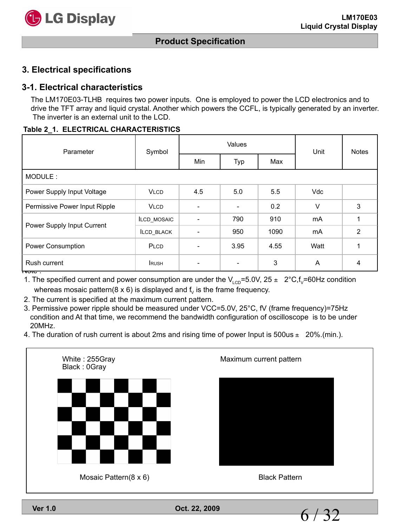

#### **3. Electrical specifications**

#### **3-1. Electrical characteristics**

The LM170E03-TLHB requires two power inputs. One is employed to power the LCD electronics and to drive the TFT array and liquid crystal. Another which powers the CCFL, is typically generated by an inverter. The inverter is an external unit to the LCD.

#### **Table 2\_1. ELECTRICAL CHARACTERISTICS**

| Parameter                         | Symbol             |     | Values                   | Unit | <b>Notes</b> |   |  |  |
|-----------------------------------|--------------------|-----|--------------------------|------|--------------|---|--|--|
|                                   |                    | Min | Typ                      | Max  |              |   |  |  |
| MODULE:                           |                    |     |                          |      |              |   |  |  |
| Power Supply Input Voltage        | <b>VLCD</b>        | 4.5 | 5.0                      | 5.5  | Vdc          |   |  |  |
| Permissive Power Input Ripple     | <b>VLCD</b>        |     |                          | 0.2  | $\vee$       | 3 |  |  |
|                                   | <b>ILCD MOSAIC</b> |     | 790                      | 910  | mA           |   |  |  |
| Power Supply Input Current        | ILCD_BLACK         |     | 950                      | 1090 | mA           | 2 |  |  |
| Power Consumption                 | PLCD               |     | 3.95                     | 4.55 | Watt         |   |  |  |
| Rush current<br>nou <del>c.</del> | <b>RUSH</b>        |     | $\overline{\phantom{a}}$ | 3    | A            | 4 |  |  |

1. The specified current and power consumption are under the  $V_{\text{LCD}}$ =5.0V, 25  $\pm$  2°C, f<sub>V</sub>=60Hz condition whereas mosaic pattern( $8 \times 6$ ) is displayed and f<sub>v</sub> is the frame frequency.

2. The current is specified at the maximum current pattern.

3. Permissive power ripple should be measured under VCC=5.0V, 25°C, fV (frame frequency)=75Hz condition and At that time, we recommend the bandwidth configuration of oscilloscope is to be under 20MHz.

4. The duration of rush current is about 2ms and rising time of power Input is  $500$ us  $\pm 20\%$ . (min.).



**Ver 1.0 Oct. 22, 2009**

6 / 32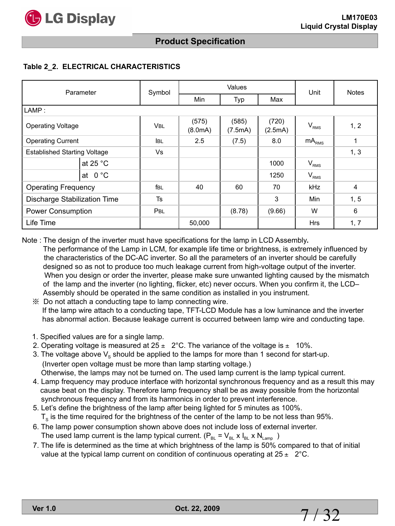

## **Product Specification**

#### **Table 2\_2. ELECTRICAL CHARACTERISTICS**

| Parameter                           |                  | Symbol     |                     | Values           | Unit              | <b>Notes</b>     |                |
|-------------------------------------|------------------|------------|---------------------|------------------|-------------------|------------------|----------------|
|                                     |                  |            | <b>Min</b>          | Typ              | Max               |                  |                |
| LAMP:                               |                  |            |                     |                  |                   |                  |                |
| <b>Operating Voltage</b>            |                  | <b>VBL</b> | (575)<br>(8.0mA)    | (585)<br>(7.5mA) | (720)<br>(2.5mA)  | $V_{RMS}$        | 1, 2           |
| <b>Operating Current</b>            |                  | <b>IBL</b> | 2.5<br>8.0<br>(7.5) |                  | mA <sub>RMS</sub> | 1                |                |
| <b>Established Starting Voltage</b> |                  | Vs         |                     |                  |                   |                  | 1, 3           |
| at 25 $^{\circ}$ C                  |                  |            |                     |                  | 1000              | $V_{RMS}$        |                |
|                                     | at $0^{\circ}$ C |            |                     |                  | 1250              | V <sub>RMS</sub> |                |
| <b>Operating Frequency</b>          |                  | fbl        | 40                  | 60               | 70                | <b>kHz</b>       | $\overline{4}$ |
| Discharge Stabilization Time        |                  | <b>Ts</b>  |                     |                  | 3                 | Min              | 1, 5           |
| <b>Power Consumption</b>            |                  | PBL        |                     | (8.78)           | (9.66)            | W                | 6              |
| Life Time                           |                  |            | 50,000              |                  |                   | <b>Hrs</b>       | 1, 7           |

Note : The design of the inverter must have specifications for the lamp in LCD Assembly**.**

 The performance of the Lamp in LCM, for example life time or brightness, is extremely influenced by the characteristics of the DC-AC inverter. So all the parameters of an inverter should be carefully designed so as not to produce too much leakage current from high-voltage output of the inverter. When you design or order the inverter, please make sure unwanted lighting caused by the mismatch of the lamp and the inverter (no lighting, flicker, etc) never occurs. When you confirm it, the LCD– Assembly should be operated in the same condition as installed in you instrument.

 ※ Do not attach a conducting tape to lamp connecting wire. If the lamp wire attach to a conducting tape, TFT-LCD Module has a low luminance and the inverter has abnormal action. Because leakage current is occurred between lamp wire and conducting tape.

- 1. Specified values are for a single lamp.
- 2. Operating voltage is measured at  $25 \pm 2^{\circ}$ C. The variance of the voltage is  $\pm 10\%$ .
- 3. The voltage above  $V_s$  should be applied to the lamps for more than 1 second for start-up. (Inverter open voltage must be more than lamp starting voltage.) Otherwise, the lamps may not be turned on. The used lamp current is the lamp typical current.
- 4. Lamp frequency may produce interface with horizontal synchronous frequency and as a result this may cause beat on the display. Therefore lamp frequency shall be as away possible from the horizontal synchronous frequency and from its harmonics in order to prevent interference.
- 5. Let's define the brightness of the lamp after being lighted for 5 minutes as 100%.  $T<sub>s</sub>$  is the time required for the brightness of the center of the lamp to be not less than 95%.
- 6. The lamp power consumption shown above does not include loss of external inverter. The used lamp current is the lamp typical current.  $(P_{BL} = V_{BL} \times I_{BL} \times N_{Lamp}$ )
- 7. The life is determined as the time at which brightness of the lamp is 50% compared to that of initial value at the typical lamp current on condition of continuous operating at  $25 \pm 2^{\circ}$ C.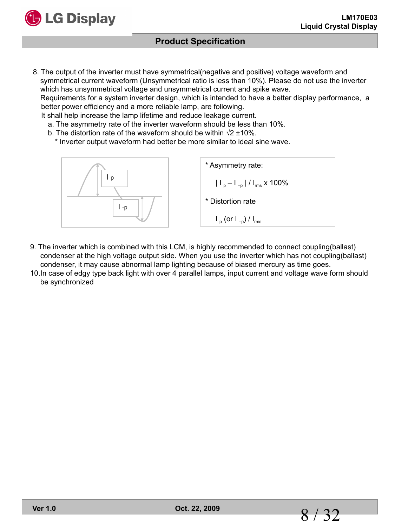

8. The output of the inverter must have symmetrical(negative and positive) voltage waveform and symmetrical current waveform (Unsymmetrical ratio is less than 10%). Please do not use the inverter which has unsymmetrical voltage and unsymmetrical current and spike wave. Requirements for a system inverter design, which is intended to have a better display performance, a better power efficiency and a more reliable lamp, are following.

It shall help increase the lamp lifetime and reduce leakage current.

- a. The asymmetry rate of the inverter waveform should be less than 10%.
- b. The distortion rate of the waveform should be within  $\sqrt{2} \pm 10\%$ .
	- \* Inverter output waveform had better be more similar to ideal sine wave.



- 9. The inverter which is combined with this LCM, is highly recommended to connect coupling(ballast) condenser at the high voltage output side. When you use the inverter which has not coupling(ballast) condenser, it may cause abnormal lamp lighting because of biased mercury as time goes.
- 10.In case of edgy type back light with over 4 parallel lamps, input current and voltage wave form should be synchronized

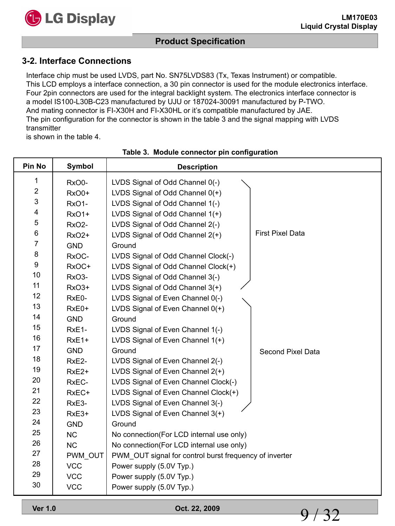

## **Product Specification**

#### **3-2. Interface Connections**

Interface chip must be used LVDS, part No. SN75LVDS83 (Tx, Texas Instrument) or compatible. This LCD employs a interface connection, a 30 pin connector is used for the module electronics interface. Four 2pin connectors are used for the integral backlight system. The electronics interface connector is a model IS100-L30B-C23 manufactured by UJU or 187024-30091 manufactured by P-TWO. And mating connector is FI-X30H and FI-X30HL or it's compatible manufactured by JAE. The pin configuration for the connector is shown in the table 3 and the signal mapping with LVDS transmitter

is shown in the table 4.

| Pin No           | <b>Symbol</b>      | <b>Description</b>                                     |                         |
|------------------|--------------------|--------------------------------------------------------|-------------------------|
| 1                | RxO0-              | LVDS Signal of Odd Channel 0(-)                        |                         |
| $\boldsymbol{2}$ | RxO0+              | LVDS Signal of Odd Channel 0(+)                        |                         |
| $\mathbf{3}$     | RxO1-              | LVDS Signal of Odd Channel 1(-)                        |                         |
| 4                | <b>RxO1+</b>       | LVDS Signal of Odd Channel 1(+)                        |                         |
| 5                | RxO <sub>2</sub> - | LVDS Signal of Odd Channel 2(-)                        |                         |
| 6                | <b>RxO2+</b>       | LVDS Signal of Odd Channel 2(+)                        | <b>First Pixel Data</b> |
| $\overline{7}$   | <b>GND</b>         | Ground                                                 |                         |
| 8                | RxOC-              | LVDS Signal of Odd Channel Clock(-)                    |                         |
| 9                | RxOC+              | LVDS Signal of Odd Channel Clock(+)                    |                         |
| 10               | RxO3-              | LVDS Signal of Odd Channel 3(-)                        |                         |
| 11               | RxO3+              | LVDS Signal of Odd Channel 3(+)                        |                         |
| 12               | RxE0-              | LVDS Signal of Even Channel 0(-)                       |                         |
| 13               | RxE0+              | LVDS Signal of Even Channel 0(+)                       |                         |
| 14               | <b>GND</b>         | Ground                                                 |                         |
| 15               | RxE1-              | LVDS Signal of Even Channel 1(-)                       |                         |
| 16               | RxE1+              | LVDS Signal of Even Channel 1(+)                       |                         |
| 17               | <b>GND</b>         | Ground                                                 | Second Pixel Data       |
| 18               | RxE2-              | LVDS Signal of Even Channel 2(-)                       |                         |
| 19               | RxE <sub>2+</sub>  | LVDS Signal of Even Channel 2(+)                       |                         |
| 20               | RxEC-              | LVDS Signal of Even Channel Clock(-)                   |                         |
| 21               | RxEC+              | LVDS Signal of Even Channel Clock(+)                   |                         |
| 22               | RxE3-              | LVDS Signal of Even Channel 3(-)                       |                         |
| 23               | RxE3+              | LVDS Signal of Even Channel 3(+)                       |                         |
| 24               | <b>GND</b>         | Ground                                                 |                         |
| 25               | <b>NC</b>          | No connection(For LCD internal use only)               |                         |
| 26               | <b>NC</b>          | No connection(For LCD internal use only)               |                         |
| 27               | PWM OUT            | PWM_OUT signal for control burst frequency of inverter |                         |
| 28               | <b>VCC</b>         | Power supply (5.0V Typ.)                               |                         |
| 29               | <b>VCC</b>         | Power supply (5.0V Typ.)                               |                         |
| 30               | <b>VCC</b>         | Power supply (5.0V Typ.)                               |                         |

#### **Table 3. Module connector pin configuration**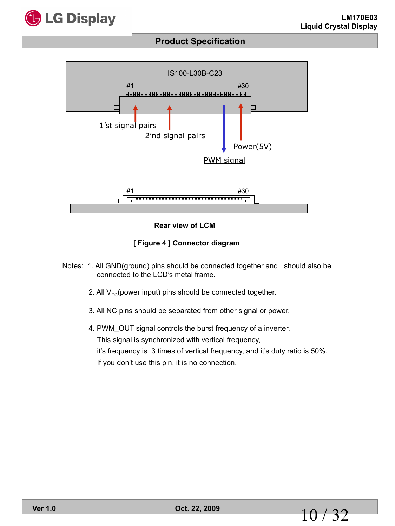





**[ Figure 4 ] Connector diagram**

- Notes: 1. All GND(ground) pins should be connected together and should also be connected to the LCD's metal frame.
	- 2. All  $V_{cc}$ (power input) pins should be connected together.
	- 3. All NC pins should be separated from other signal or power.
	- 4. PWM\_OUT signal controls the burst frequency of a inverter. This signal is synchronized with vertical frequency, it's frequency is 3 times of vertical frequency, and it's duty ratio is 50%. If you don't use this pin, it is no connection.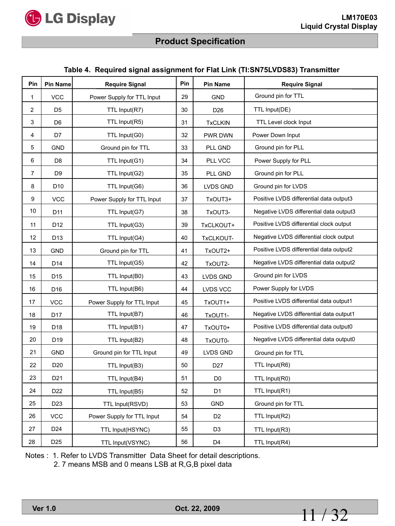

#### **Table 4. Required signal assignment for Flat Link (TI:SN75LVDS83) Transmitter**

| Pin            | <b>Pin Name</b> | <b>Require Signal</b>      | Pin | <b>Pin Name</b> | <b>Require Signal</b>                   |
|----------------|-----------------|----------------------------|-----|-----------------|-----------------------------------------|
| 1              | <b>VCC</b>      | Power Supply for TTL Input | 29  | <b>GND</b>      | Ground pin for TTL                      |
| $\overline{c}$ | D <sub>5</sub>  | TTL Input(R7)              | 30  | D <sub>26</sub> | TTL Input(DE)                           |
| 3              | D <sub>6</sub>  | TTL Input(R5)              | 31  | <b>TxCLKIN</b>  | TTL Level clock Input                   |
| 4              | D7              | TTL Input(G0)              | 32  | PWR DWN         | Power Down Input                        |
| 5              | <b>GND</b>      | Ground pin for TTL         | 33  | PLL GND         | Ground pin for PLL                      |
| 6              | D <sub>8</sub>  | TTL Input(G1)              | 34  | PLL VCC         | Power Supply for PLL                    |
| 7              | D <sub>9</sub>  | TTL Input(G2)              | 35  | PLL GND         | Ground pin for PLL                      |
| 8              | D <sub>10</sub> | TTL Input(G6)              | 36  | LVDS GND        | Ground pin for LVDS                     |
| 9              | <b>VCC</b>      | Power Supply for TTL Input | 37  | TxOUT3+         | Positive LVDS differential data output3 |
| 10             | D11             | TTL Input(G7)              | 38  | TxOUT3-         | Negative LVDS differential data output3 |
| 11             | D <sub>12</sub> | TTL Input(G3)              | 39  | TxCLKOUT+       | Positive LVDS differential clock output |
| 12             | D <sub>13</sub> | TTL Input(G4)              | 40  | TxCLKOUT-       | Negative LVDS differential clock output |
| 13             | <b>GND</b>      | Ground pin for TTL         | 41  | TxOUT2+         | Positive LVDS differential data output2 |
| 14             | D <sub>14</sub> | TTL Input(G5)              | 42  | TxOUT2-         | Negative LVDS differential data output2 |
| 15             | D <sub>15</sub> | TTL Input(B0)              | 43  | LVDS GND        | Ground pin for LVDS                     |
| 16             | D <sub>16</sub> | TTL Input(B6)              | 44  | LVDS VCC        | Power Supply for LVDS                   |
| 17             | <b>VCC</b>      | Power Supply for TTL Input | 45  | TxOUT1+         | Positive LVDS differential data output1 |
| 18             | D <sub>17</sub> | TTL Input(B7)              | 46  | TxOUT1-         | Negative LVDS differential data output1 |
| 19             | D <sub>18</sub> | TTL Input(B1)              | 47  | TxOUT0+         | Positive LVDS differential data output0 |
| 20             | D <sub>19</sub> | TTL Input(B2)              | 48  | TxOUT0-         | Negative LVDS differential data output0 |
| 21             | <b>GND</b>      | Ground pin for TTL Input   | 49  | LVDS GND        | Ground pin for TTL                      |
| 22             | D <sub>20</sub> | TTL Input(B3)              | 50  | D <sub>27</sub> | TTL Input(R6)                           |
| 23             | D <sub>21</sub> | TTL Input(B4)              | 51  | D <sub>0</sub>  | TTL Input(R0)                           |
| 24             | D <sub>22</sub> | TTL Input(B5)              | 52  | D <sub>1</sub>  | TTL Input(R1)                           |
| 25             | D <sub>23</sub> | TTL Input(RSVD)            | 53  | <b>GND</b>      | Ground pin for TTL                      |
| 26             | <b>VCC</b>      | Power Supply for TTL Input | 54  | D <sub>2</sub>  | TTL Input(R2)                           |
| 27             | D <sub>24</sub> | TTL Input(HSYNC)           | 55  | D <sub>3</sub>  | TTL Input(R3)                           |
| 28             | D <sub>25</sub> | TTL Input(VSYNC)           | 56  | D <sub>4</sub>  | TTL Input(R4)                           |

Notes : 1. Refer to LVDS Transmitter Data Sheet for detail descriptions.

2. 7 means MSB and 0 means LSB at R,G,B pixel data

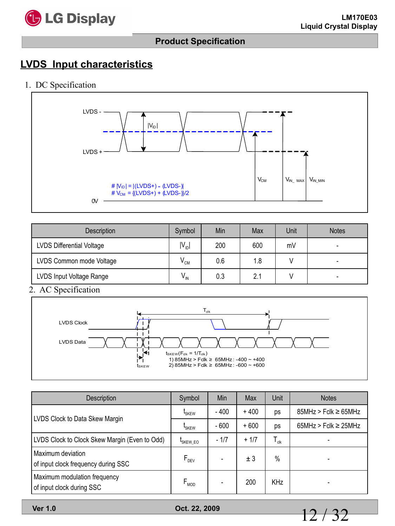

# **LVDS Input characteristics**

1. DC Specification



| <b>Description</b>        | Symbol          | Min | Max | Unit | <b>Notes</b>             |
|---------------------------|-----------------|-----|-----|------|--------------------------|
| LVDS Differential Voltage | $IV_{ID}$       | 200 | 600 | mV   | $\overline{\phantom{0}}$ |
| LVDS Common mode Voltage  | $V_{CM}$        | 0.6 | 1.8 |      |                          |
| LVDS Input Voltage Range  | $V_{\text{IN}}$ | 0.3 | 2.1 |      |                          |

2. AC Specification



| Description                                               | Symbol                                           | Min    | Max    | Unit             | <b>Notes</b>             |
|-----------------------------------------------------------|--------------------------------------------------|--------|--------|------------------|--------------------------|
| LVDS Clock to Data Skew Margin                            | $\mathfrak{t}_{\scriptscriptstyle\mathsf{SKEW}}$ | $-400$ | $+400$ | ps               | $85MHz > Fclk \ge 65MHz$ |
|                                                           | L <sub>SKEW</sub>                                | $-600$ | $+600$ | ps               | $65MHz > Fclk \ge 25MHz$ |
| LVDS Clock to Clock Skew Margin (Even to Odd)             | <sup>L</sup> SKEW_EO                             | $-1/7$ | $+1/7$ | $T_{\text{clk}}$ |                          |
| Maximum deviation<br>of input clock frequency during SSC  | $F_{DEV}$                                        |        | ± 3    | $\%$             |                          |
| Maximum modulation frequency<br>of input clock during SSC | $F_{MOD}$                                        |        | 200    | <b>KHz</b>       |                          |

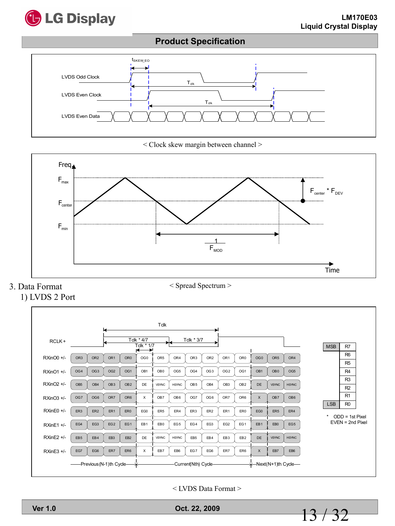

## **Product Specification**



< Clock skew margin between channel >



# 3. Data Format



< LVDS Data Format >

**Ver 1.0 Oct. 22, 2009**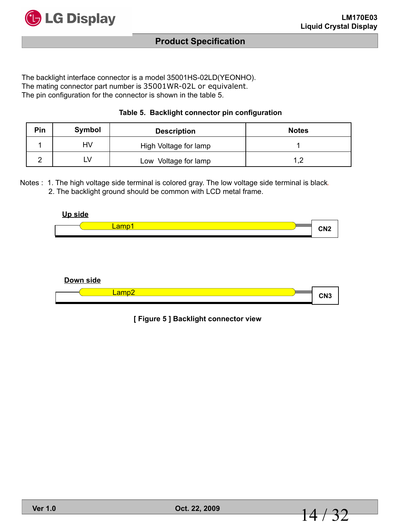

The backlight interface connector is a model 35001HS-02LD(YEONHO). The mating connector part number is 35001WR-02L or equivalent. The pin configuration for the connector is shown in the table 5.

| Table 5. Backlight connector pin configuration |  |  |  |  |
|------------------------------------------------|--|--|--|--|
|------------------------------------------------|--|--|--|--|

| Pin | Symbol | <b>Description</b>    | <b>Notes</b> |
|-----|--------|-----------------------|--------------|
|     | HV     | High Voltage for lamp |              |
|     | N      | Low Voltage for lamp  |              |

Notes : 1. The high voltage side terminal is colored gray. The low voltage side terminal is black.

2. The backlight ground should be common with LCD metal frame.





**[ Figure 5 ] Backlight connector view**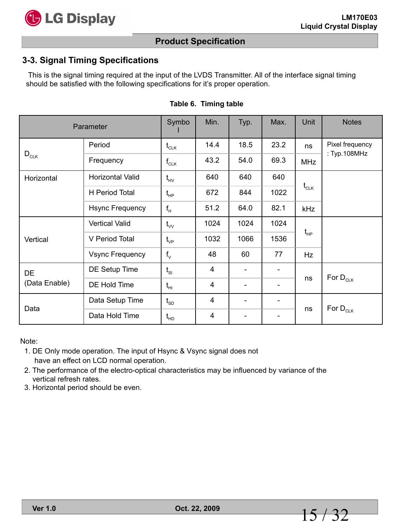

## **Product Specification**

#### **3-3. Signal Timing Specifications**

This is the signal timing required at the input of the LVDS Transmitter. All of the interface signal timing should be satisfied with the following specifications for it's proper operation.

| Parameter     |                        | Symbo                                          | Min. | Typ.                     | Max. | Unit                                            | <b>Notes</b>    |
|---------------|------------------------|------------------------------------------------|------|--------------------------|------|-------------------------------------------------|-----------------|
|               | Period                 | $t_{CLK}$                                      | 14.4 | 18.5                     | 23.2 | ns                                              | Pixel frequency |
| $D_{CLK}$     | Frequency              | $\mathsf{f}_{\texttt{CLK}}$                    | 43.2 | 54.0                     | 69.3 | <b>MHz</b>                                      | : Typ.108MHz    |
| Horizontal    | Horizontal Valid       | $t_{HV}$                                       | 640  | 640                      | 640  |                                                 |                 |
|               | H Period Total         | $\mathfrak{t}_{\scriptscriptstyle\mathsf{HP}}$ | 672  | 844                      | 1022 | $\mathfrak{t}_{\scriptscriptstyle{\text{CLK}}}$ |                 |
|               | Hsync Frequency        | $f_H$                                          | 51.2 | 64.0                     | 82.1 | kHz                                             |                 |
|               | <b>Vertical Valid</b>  | $t_{vv}$                                       | 1024 | 1024                     | 1024 |                                                 |                 |
| Vertical      | V Period Total         | $t_{\rm VP}$                                   | 1032 | 1066                     | 1536 | $\mathfrak{t}_{\scriptscriptstyle\mathsf{HP}}$  |                 |
|               | <b>Vsync Frequency</b> | $f_{\vee}$                                     | 48   | 60                       | 77   | Hz                                              |                 |
| DE            | DE Setup Time          | $t_{\rm SI}$                                   | 4    |                          |      |                                                 | For $D_{CLK}$   |
| (Data Enable) | DE Hold Time           | $t_{HI}$                                       | 4    | $\overline{\phantom{a}}$ | -    | ns                                              |                 |
|               | Data Setup Time        | $t_{SD}$                                       | 4    | $\blacksquare$           |      |                                                 |                 |
| Data          | Data Hold Time         | $t_{HD}$                                       | 4    | $\overline{\phantom{a}}$ | -    | ns                                              | For $D_{CLK}$   |

#### **Table 6. Timing table**

Note:

- 1. DE Only mode operation. The input of Hsync & Vsync signal does not have an effect on LCD normal operation.
- 2. The performance of the electro-optical characteristics may be influenced by variance of the vertical refresh rates.
- 3. Horizontal period should be even.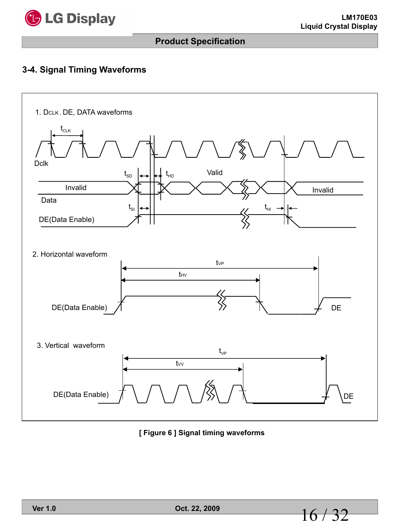

## **Product Specification**

#### **3-4. Signal Timing Waveforms**



**[ Figure 6 ] Signal timing waveforms**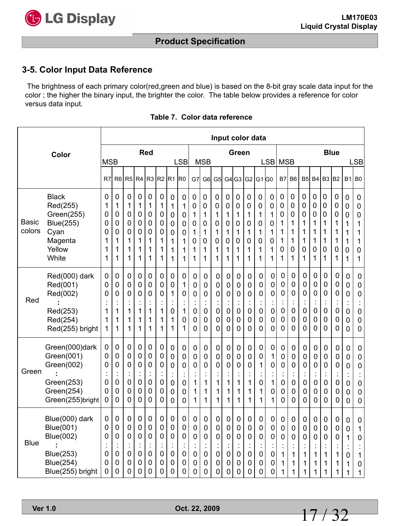

## **Product Specification**

#### **3-5. Color Input Data Reference**

The brightness of each primary color(red,green and blue) is based on the 8-bit gray scale data input for the color ; the higher the binary input, the brighter the color. The table below provides a reference for color versus data input.

|                 |                                                                                                             |                                                |                                                                            |                                                    |                                                    |                                                        |                                      |                                                                                                          |                                                                            |                                                           |                                                                              |                                                |                                                            |                                                                                      |                                                    | Input color data                                     |                                                                    |                                              |                                                                  |                                                      |                                                                  |                                                                            |                                      |                                              |                                                                                            |
|-----------------|-------------------------------------------------------------------------------------------------------------|------------------------------------------------|----------------------------------------------------------------------------|----------------------------------------------------|----------------------------------------------------|--------------------------------------------------------|--------------------------------------|----------------------------------------------------------------------------------------------------------|----------------------------------------------------------------------------|-----------------------------------------------------------|------------------------------------------------------------------------------|------------------------------------------------|------------------------------------------------------------|--------------------------------------------------------------------------------------|----------------------------------------------------|------------------------------------------------------|--------------------------------------------------------------------|----------------------------------------------|------------------------------------------------------------------|------------------------------------------------------|------------------------------------------------------------------|----------------------------------------------------------------------------|--------------------------------------|----------------------------------------------|--------------------------------------------------------------------------------------------|
|                 | Color                                                                                                       | <b>MSB</b>                                     |                                                                            |                                                    |                                                    | Red                                                    |                                      |                                                                                                          | <b>LSB</b>                                                                 |                                                           | <b>MSB</b>                                                                   |                                                |                                                            | Green                                                                                |                                                    |                                                      | LSB MSB                                                            |                                              |                                                                  |                                                      |                                                                  |                                                                            | <b>Blue</b>                          |                                              | <b>LSB</b>                                                                                 |
|                 |                                                                                                             | R7                                             | R <sub>6</sub>                                                             | R <sub>5</sub>                                     | R4                                                 | R <sub>3</sub>                                         | R <sub>2</sub>                       | R <sub>1</sub>                                                                                           | lro                                                                        | G7                                                        | G <sub>6</sub>                                                               | G <sub>5</sub>                                 |                                                            | G4 G3                                                                                | G <sub>2</sub>                                     | G <sub>1</sub> $G0$                                  |                                                                    | B7                                           | B <sub>6</sub>                                                   | B <sub>5</sub>                                       | <b>B4</b>                                                        | B <sub>3</sub>                                                             | B <sub>2</sub>                       | <b>B1</b>                                    | <b>B0</b>                                                                                  |
| Basic<br>colors | <b>Black</b><br>Red(255)<br>Green(255)<br><b>Blue(255)</b><br>Cyan<br>Magenta<br>Yellow<br>White            | $\mathbf 0$<br>1<br>0<br>0<br>0<br>1<br>1<br>1 | 0<br>1<br>0<br>0<br>0<br>1<br>1<br>1                                       | 0<br>1<br>0<br>0<br>0<br>1<br>1<br>1               | 0<br>1<br>0<br>0<br>0<br>1<br>1<br>1               | 0<br>1<br>0<br>0<br>0<br>1<br>1<br>1                   | 0<br>1<br>0<br>0<br>0<br>1<br>1<br>1 | $\mathbf 0$<br>1<br>0<br>$\mathbf 0$<br>$\mathbf 0$<br>1<br>1<br>1                                       | $\mathbf 0$<br>1<br>0<br>$\mathbf 0$<br>0<br>1<br>1<br>1                   | 0<br>0<br>1<br>0<br>1<br>$\mathbf 0$<br>1<br>1            | $\mathbf 0$<br>$\mathbf 0$<br>1<br>$\mathbf 0$<br>1<br>$\mathbf 0$<br>1<br>1 | 0<br>0<br>1<br>0<br>1<br>0<br>1<br>1           | $\mathbf 0$<br>0<br>1<br>0<br>1<br>0<br>1<br>1             | $\mathbf 0$<br>$\mathbf 0$<br>1<br>0<br>1<br>$\mathbf 0$<br>1<br>1                   | 0<br>0<br>1<br>0<br>1<br>0<br>1<br>1               | 0<br>0<br>1<br>0<br>1<br>0<br>1<br>1                 | $\mathbf 0$<br>0<br>1<br>$\mathbf 0$<br>1<br>$\mathbf 0$<br>1<br>1 | 0<br>0<br>0<br>1<br>1<br>1<br>0<br>1         | 0<br>0<br>0<br>1<br>1<br>1<br>0<br>1                             | 0<br>0<br>0<br>1<br>1<br>1<br>0<br>1                 | 0<br>0<br>0<br>1<br>1<br>1<br>0<br>1                             | 0<br>0<br>0<br>1<br>1<br>1<br>0<br>1                                       | 0<br>0<br>0<br>1<br>1<br>1<br>0<br>1 | 0<br>0<br>0<br>1<br>1<br>1<br>0<br>1         | 0<br>$\mathbf 0$<br>$\pmb{0}$<br>1<br>1<br>$\mathbf 1$<br>$\pmb{0}$<br>1                   |
| Red             | Red(000) dark<br>Red(001)<br>Red(002)<br>Red(253)<br>Red(254)<br>Red(255) bright                            | 0<br>0<br>0<br>1<br>1<br>1                     | 0<br>0<br>0<br>$\cdot$<br>1<br>1<br>1                                      | 0<br>0<br>0<br>1<br>1<br>1                         | 0<br>0<br>0<br>$\ddot{\cdot}$<br>1<br>1<br>1       | 0<br>0<br>0<br>$\ddot{\cdot}$<br>1<br>1<br>1           | 0<br>0<br>0<br>1<br>1<br>1           | 0<br>$\mathbf 0$<br>1<br>$\ddot{\cdot}$<br>$\mathbf 0$<br>1<br>1                                         | 0<br>1<br>0<br>1<br>$\mathbf 0$<br>1                                       | 0<br>0<br>0<br>$\ddot{\cdot}$<br>0<br>0<br>0              | 0<br>0<br>0<br>Ì,<br>$\mathbf 0$<br>$\mathbf 0$<br>0                         | $\mathbf 0$<br>0<br>0<br>$\mathbf 0$<br>0<br>0 | 0<br>0<br>0<br>$\vdots$<br>0<br>0<br>0                     | $\mathbf 0$<br>$\mathbf 0$<br>0<br>$\blacksquare$<br>$\mathbf 0$<br>$\mathbf 0$<br>0 | 0<br>0<br>0<br>0<br>0<br>0                         | 0<br>0<br>0<br>$\ddot{\cdot}$<br>$\pmb{0}$<br>0<br>0 | 0<br>0<br>0<br>$\mathbf 0$<br>0<br>0                               | 0<br>0<br>0<br>$\ddot{\cdot}$<br>0<br>0<br>0 | 0<br>0<br>0<br>t<br>$\mathbf 0$<br>$\mathbf 0$<br>0              | 0<br>0<br>0<br>İ<br>$\mathbf 0$<br>0<br>0            | 0<br>0<br>0<br>$\ddot{\cdot}$<br>$\mathbf 0$<br>0<br>$\mathbf 0$ | 0<br>0<br>$\mathbf 0$<br>$\ddot{\cdot}$<br>$\mathbf 0$<br>$\mathbf 0$<br>0 | 0<br>0<br>0<br>0<br>0<br>0           | 0<br>0<br>0<br>$\ddot{\cdot}$<br>0<br>0<br>0 | $\pmb{0}$<br>$\mathbf 0$<br>0<br>$\ddot{\cdot}$<br>$\mathbf 0$<br>$\pmb{0}$<br>$\mathbf 0$ |
| Green           | Green(000)dark<br>Green(001)<br>Green(002)<br>Green(253)<br>Green(254)<br>Green(255)bright                  | 0<br>0<br>$\mathbf 0$<br>0<br>0<br>0           | 0<br>$\mathbf 0$<br>$\mathbf 0$<br>$\ddot{\cdot}$<br>0<br>0<br>0           | 0<br>0<br>0<br>$\ddot{\cdot}$<br>0<br>0<br>0       | 0<br>0<br>0<br>$\ddot{\phantom{a}}$<br>0<br>0<br>0 | 0<br>0<br>0<br>$\ddot{\cdot}$<br>$\mathsf 0$<br>0<br>0 | 0<br>0<br>0<br>0<br>0<br>0           | $\mathbf 0$<br>$\mathbf 0$<br>$\mathbf 0$<br>$\ddot{\cdot}$<br>$\mathbf 0$<br>0<br>$\mathbf 0$           | $\mathbf 0$<br>0<br>$\mathbf 0$<br>$\mathbf 0$<br>0<br>$\mathbf 0$         | 0<br>0<br>0<br>Ì,<br>1<br>1<br>1                          | $\pmb{0}$<br>$\mathbf 0$<br>$\mathbf 0$<br>$\ddot{\cdot}$<br>1<br>1<br>1     | 0<br>0<br>0<br>t<br>1<br>1<br>1                | 0<br>0<br>0<br>t<br>1<br>1<br>1                            | $\mathbf 0$<br>$\mathbf 0$<br>$\mathbf 0$<br>Ì<br>1<br>1<br>1                        | 0<br>0<br>0<br>$\ddot{\phantom{a}}$<br>1<br>1<br>1 | 0<br>0<br>1<br>$\ddot{\phantom{a}}$<br>0<br>1<br>1   | 0<br>1<br>0<br>$\ddot{\phantom{a}}$<br>1<br>0<br>1                 | 0<br>0<br>0<br>$\ddot{\cdot}$<br>0<br>0<br>0 | $\mathbf 0$<br>0<br>0<br>$\ddot{\cdot}$<br>$\mathbf 0$<br>0<br>0 | 0<br>0<br>0<br>$\ddot{\cdot}$<br>$\pmb{0}$<br>0<br>0 | $\mathbf 0$<br>0<br>0<br>$\ddot{\cdot}$<br>$\mathbf 0$<br>0<br>0 | $\mathbf 0$<br>0<br>$\mathbf 0$<br>$\ddot{\cdot}$<br>$\mathbf 0$<br>0<br>0 | 0<br>0<br>0<br>0<br>0<br>0           | 0<br>0<br>0<br>$\ddot{\cdot}$<br>0<br>0<br>0 | $\mathbf 0$<br>$\pmb{0}$<br>0<br>$\ddot{\cdot}$<br>0<br>$\pmb{0}$<br>0                     |
| <b>Blue</b>     | Blue(000) dark<br><b>Blue(001)</b><br><b>Blue(002)</b><br>Blue(253)<br><b>Blue(254)</b><br>Blue(255) bright | 0<br>$\mathbf 0$<br>0<br>$\mathbf 0$<br>0<br>0 | 0<br>$\mathbf 0$<br>$\mathbf 0$<br>$\ddot{\cdot}$<br>$\mathbf 0$<br>0<br>0 | 0<br>0<br>0<br>$\ddot{\phantom{a}}$<br>0<br>0<br>0 | 0<br>0<br>0<br>$\ddot{\phantom{a}}$<br>0<br>0<br>0 | 0<br>0<br>0<br>$\ddot{\cdot}$<br>0<br>0<br>0           | 0<br>0<br>0<br>t<br>0<br>0<br>0      | 0<br>$\mathbf 0$<br>$\mathbf 0$<br>$\overline{\phantom{a}}$<br>$\mathbf 0$<br>$\mathbf 0$<br>$\mathbf 0$ | 0<br>$\mathbf 0$<br>$\mathbf 0$<br>$\blacksquare$<br>$\mathbf 0$<br>0<br>0 | 0<br>0<br>$\overline{0}$<br>$\ddot{\cdot}$<br>0<br>0<br>0 | 0<br>$\mathbf 0$<br>$\mathbf 0$<br>$\ddot{\cdot}$<br>$\pmb{0}$<br>0<br>0     | 0<br>0<br>0<br>$\mathbf 0$<br>0<br>0           | 0<br>0<br>0<br>$\ddot{\phantom{a}}$<br>$\pmb{0}$<br>0<br>0 | 0<br>$\mathbf 0$<br>$\mathbf 0$<br>$\ddot{\cdot}$<br>$\pmb{0}$<br>$\mathbf 0$<br>0   | 0<br>0<br>0<br>t.<br>$\mathbf 0$<br>0<br>0         | 0<br>0<br>0<br>÷<br>0<br>0<br>0                      | 0<br>0<br>0<br>$\ddot{\phantom{a}}$<br>0<br>0<br>0                 | 0<br>0<br>0<br>$\ddot{\cdot}$<br>1<br>1<br>1 | 0<br>0<br>0<br>$\ddot{\cdot}$<br>1<br>1<br>$\mathbf 1$           | 0<br>0<br>0<br>İ<br>1<br>1<br>1                      | 0<br>0<br>0<br>t<br>1<br>1<br>1                                  | 0<br>0<br>$\mathbf 0$<br>$\ddot{\cdot}$<br>1<br>1<br>1                     | 0<br>0<br>0<br>İ<br>1<br>1<br>1      | 0<br>0<br>1<br>$\ddot{\cdot}$<br>0<br>1<br>1 | 0<br>1<br>0<br>$\ddot{\cdot}$<br>1<br>0<br>1                                               |

#### **Table 7. Color data reference**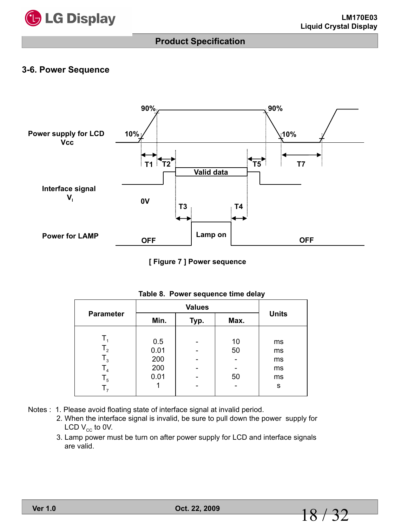

#### **3-6. Power Sequence**



**[ Figure 7 ] Power sequence**

| <b>Parameter</b> | Min. | Typ. | Max. | <b>Units</b> |
|------------------|------|------|------|--------------|
|                  |      |      |      |              |
| т,               | 0.5  |      | 10   | ms           |
| $T_{2}$          | 0.01 |      | 50   | ms           |
| $T_{3}$          | 200  |      |      | ms           |
| T <sub>4</sub>   | 200  |      |      | ms           |
| $T_5$            | 0.01 |      | 50   | ms           |
| T <sub>7</sub>   |      |      |      | s            |

|  |  | Table 8. Power sequence time delay |  |  |
|--|--|------------------------------------|--|--|
|--|--|------------------------------------|--|--|

- Notes : 1. Please avoid floating state of interface signal at invalid period.
	- 2. When the interface signal is invalid, be sure to pull down the power supply for LCD  $V_{cc}$  to 0V.
	- 3. Lamp power must be turn on after power supply for LCD and interface signals are valid.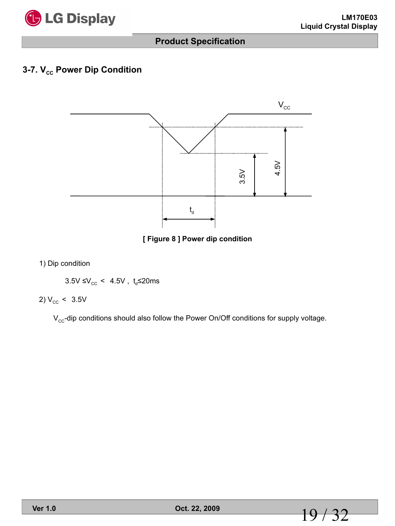

## **3-7. V<sub>cc</sub> Power Dip Condition**



**[ Figure 8 ] Power dip condition**

1) Dip condition

 $3.5V \leq V_{\text{cc}}$  < 4.5V, t<sub>d</sub> \le 20ms

2)  $V_{\text{cc}}$  < 3.5V

 $V_{cc}$ -dip conditions should also follow the Power On/Off conditions for supply voltage.



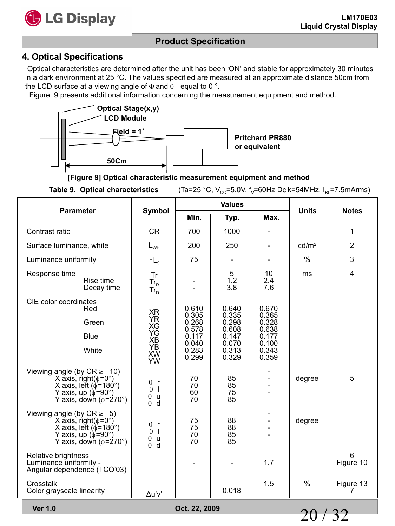

#### **4. Optical Specifications**

Optical characteristics are determined after the unit has been 'ON' and stable for approximately 30 minutes in a dark environment at 25 °C. The values specified are measured at an approximate distance 50cm from the LCD surface at a viewing angle of  $\Phi$  and  $\theta$  equal to 0 °.

Figure. 9 presents additional information concerning the measurement equipment and method.



**[Figure 9] Optical characteristic measurement equipment and method**

**Table 9. Optical characteristics** (Ta=25 °C,  $V_{\text{cc}}$ =5.0V,  $f_v$ =60Hz Dclk=54MHz,  $I_{\text{Al}}$ =7.5mArms)

| <b>Parameter</b>                                                                                                                                                  | Symbol                                                                           |                      | <b>Values</b>        |                  | <b>Units</b>      | <b>Notes</b>            |
|-------------------------------------------------------------------------------------------------------------------------------------------------------------------|----------------------------------------------------------------------------------|----------------------|----------------------|------------------|-------------------|-------------------------|
|                                                                                                                                                                   |                                                                                  | Min.                 | Typ.                 | Max.             |                   |                         |
| Contrast ratio                                                                                                                                                    | <b>CR</b>                                                                        | 700                  | 1000                 |                  |                   | $\mathbf{1}$            |
| Surface luminance, white                                                                                                                                          | $L_{WH}$                                                                         | 200                  | 250                  |                  | cd/m <sup>2</sup> | $\overline{2}$          |
| Luminance uniformity                                                                                                                                              | $\triangle$ $L_g$                                                                | 75                   |                      |                  | $\%$              | 3                       |
| Response time<br>Rise time<br>Decay time                                                                                                                          | Tr<br>$Tr_R$<br>$Tr_{D}$                                                         |                      | 5<br>1.2<br>3.8      | 10<br>2.4<br>7.6 | ms                | $\overline{\mathbf{4}}$ |
| CIE color coordinates<br>Red                                                                                                                                      | XR                                                                               | 0.610<br>0.305       | 0.640<br>0.335       | 0.670<br>0.365   |                   |                         |
| Green                                                                                                                                                             | <b>YR</b><br>XG                                                                  | 0.268<br>0.578       | 0.298<br>0.608       | 0.328<br>0.638   |                   |                         |
| <b>Blue</b>                                                                                                                                                       | YG<br>XB                                                                         | 0.117<br>0.040       | 0.147<br>0.070       | 0.177<br>0.100   |                   |                         |
| White                                                                                                                                                             | YB<br><b>XW</b><br>YW                                                            | 0.283<br>0.299       | 0.313<br>0.329       | 0.343<br>0.359   |                   |                         |
| Viewing angle (by $CR \geq 10$ )<br>X axis, right( $\phi$ =0°)<br>X axis, left ( $\phi$ =180°)<br>Y axis, up ( $\phi$ =90°)<br>Y axis, down ( $\phi$ =270°)       | $\theta$ r<br>$\theta$<br>$\mathbf{I}$<br>$\theta$<br>$\mathsf{u}$<br>$\theta$ d | 70<br>70<br>60<br>70 | 85<br>85<br>75<br>85 |                  | degree            | 5                       |
| Viewing angle (by $CR \geq 5$ )<br>X ăxis, right( $\phi$ =0°)<br>X axis, left ( $\phi$ =180°)<br>Y axis, up ( $\phi$ =90°)<br>Y axis, down $(\phi = 270^{\circ})$ | $\theta$ r<br>$\theta$  <br>$\theta$ u<br>$\theta$ d                             | 75<br>75<br>70<br>70 | 88<br>88<br>85<br>85 |                  | degree            |                         |
| Relative brightness<br>Luminance uniformity -<br>Angular dependence (TCO'03)                                                                                      |                                                                                  |                      |                      | 1.7              |                   | 6<br>Figure 10          |
| Crosstalk<br>Color grayscale linearity                                                                                                                            | Δu'v'                                                                            |                      | 0.018                | 1.5              | %                 | Figure 13<br>7          |

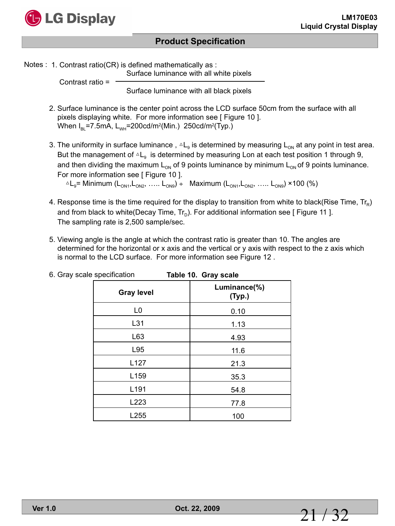

Notes : 1. Contrast ratio(CR) is defined mathematically as :

Surface luminance with all white pixels

 Contrast ratio = Surface luminance with all black pixels

- 2. Surface luminance is the center point across the LCD surface 50cm from the surface with all pixels displaying white. For more information see [ Figure 10 ]. When  $I_{BL}$ =7.5mA,  $L_{WH}$ =200cd/m<sup>2</sup>(Min.) 250cd/m<sup>2</sup>(Typ.)
- 3. The uniformity in surface luminance,  $\Delta L_g$  is determined by measuring  $L_{ON}$  at any point in test area. But the management of  $\Delta L_q$  is determined by measuring Lon at each test position 1 through 9, and then dividing the maximum  $L_{ON}$  of 9 points luminance by minimum  $L_{ON}$  of 9 points luminance. For more information see [ Figure 10 ].  $AL_{9}$ = Minimum (L<sub>ON1</sub>, L<sub>ON2</sub>, ….. L<sub>ON9</sub>) ÷ Maximum (L<sub>ON1</sub>, L<sub>ON2</sub>, ….. L<sub>ON9</sub>) ×100 (%)

4. Response time is the time required for the display to transition from white to black(Rise Time,  $Tr_R$ ) and from black to white(Decay Time,  $Tr_D$ ). For additional information see [ Figure 11 ]. The sampling rate is 2,500 sample/sec.

5. Viewing angle is the angle at which the contrast ratio is greater than 10. The angles are determined for the horizontal or x axis and the vertical or y axis with respect to the z axis which is normal to the LCD surface. For more information see Figure 12 .

| ~ r∽<br>          | . <u>.</u><br>$- - - - -$ |
|-------------------|---------------------------|
| <b>Gray level</b> | Luminance(%)<br>(Typ.)    |
| L <sub>0</sub>    | 0.10                      |
| L31               | 1.13                      |
| L63               | 4.93                      |
| L95               | 11.6                      |
| L127              | 21.3                      |
| L159              | 35.3                      |
| L191              | 54.8                      |
| L223              | 77.8                      |
| L255              | 100                       |

6. Gray scale specification **Table 10. Gray scale**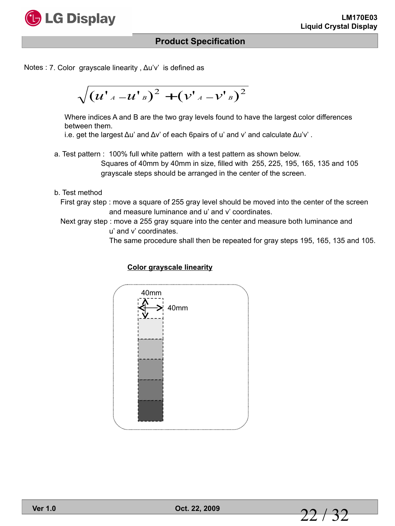

Notes : 7. Color grayscale linearity, Δu'v' is defined as

$$
\sqrt{\left({u^{\prime}}_{^{A}}- {u^{\prime}}_{^{B}}\right)^{2}+\left({v^{\prime}}_{^{A}}- {v^{\prime}}_{^{B}}\right)^{2}}
$$

Where indices A and B are the two gray levels found to have the largest color differences between them.

i.e. get the largest  $\Delta u$ ' and  $\Delta v$ ' of each 6pairs of u' and v' and calculate  $\Delta u$ 'v'.

- a. Test pattern : 100% full white pattern with a test pattern as shown below. Squares of 40mm by 40mm in size, filled with 255, 225, 195, 165, 135 and 105 grayscale steps should be arranged in the center of the screen.
- b. Test method
	- First gray step : move a square of 255 gray level should be moved into the center of the screen and measure luminance and u' and v' coordinates.
	- Next gray step : move a 255 gray square into the center and measure both luminance and u' and v' coordinates.

The same procedure shall then be repeated for gray steps 195, 165, 135 and 105.

#### **Color grayscale linearity**

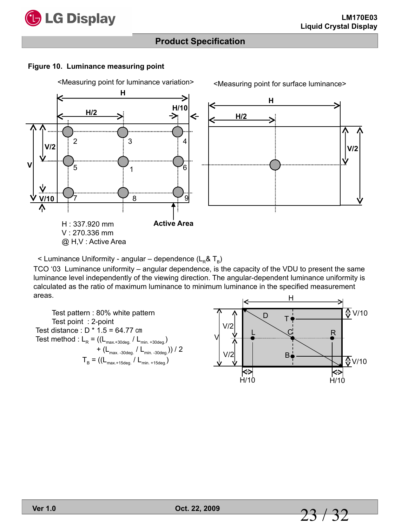

**V/2**

## **Product Specification**

#### **Figure 10. Luminance measuring point**

<Measuring point for luminance variation>



< Luminance Uniformity - angular – dependence  $(L_B & T_B)$ 

TCO '03 Luminance uniformity – angular dependence, is the capacity of the VDU to present the same luminance level independently of the viewing direction. The angular-dependent luminance uniformity is calculated as the ratio of maximum luminance to minimum luminance in the specified measurement areas.

 Test pattern : 80% white pattern Test point : 2-point Test distance : D \* 1.5 = 64.77 ㎝ Test method :  $L_R = ((L_{max.+30deg.}/ L_{min.+30deg.})$ +  $(L_{\text{max. -30deg.}} / L_{\text{min. -30deg.}})$  / 2  $T_B = ((L_{\text{max.+15deg.}} / L_{\text{min. +15deg.}}))$ 

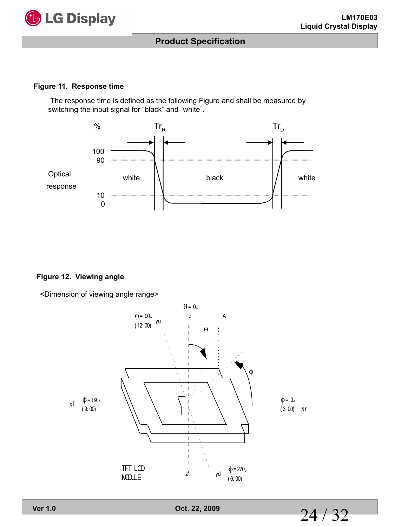

#### **Figure 11. Response time**

The response time is defined as the following Figure and shall be measured by switching the input signal for "black" and "white".



#### **Figure 12. Viewing angle**

<Dimension of viewing angle range>



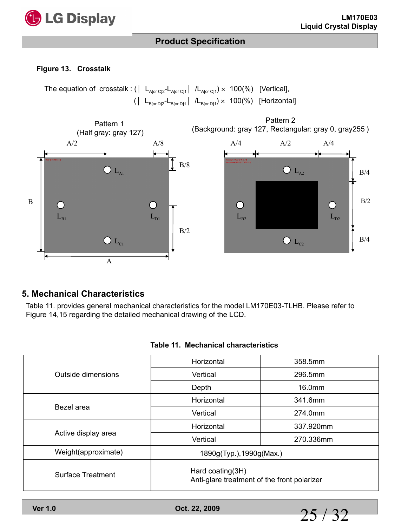

#### **Figure 13. Crosstalk**

The equation of crosstalk : ( $| L_{A[or\ C]2} - L_{A[or\ C]1} | / L_{A[or\ C]1}) \times 100(\%)$  [Vertical],  $\left( \begin{array}{ccc} L_{B[\text{or }D]2}-L_{B[\text{or }D]1} & /L_{B[\text{or }D]1} \end{array} \right) \times$  100(%) [Horizontal]



#### **5. Mechanical Characteristics**

Table 11. provides general mechanical characteristics for the model LM170E03-TLHB. Please refer to Figure 14,15 regarding the detailed mechanical drawing of the LCD.

| Outside dimensions  | Horizontal                                                      | 358.5mm   |  |  |
|---------------------|-----------------------------------------------------------------|-----------|--|--|
|                     | Vertical                                                        | 296.5mm   |  |  |
|                     | Depth                                                           | 16.0mm    |  |  |
|                     | Horizontal                                                      | 341.6mm   |  |  |
| Bezel area          | Vertical                                                        | 274.0mm   |  |  |
|                     | Horizontal                                                      | 337.920mm |  |  |
| Active display area | Vertical                                                        | 270.336mm |  |  |
| Weight(approximate) | 1890g(Typ.), 1990g(Max.)                                        |           |  |  |
| Surface Treatment   | Hard coating(3H)<br>Anti-glare treatment of the front polarizer |           |  |  |

#### **Table 11. Mechanical characteristics**

**Ver 1.0 Oct. 22, 2009**

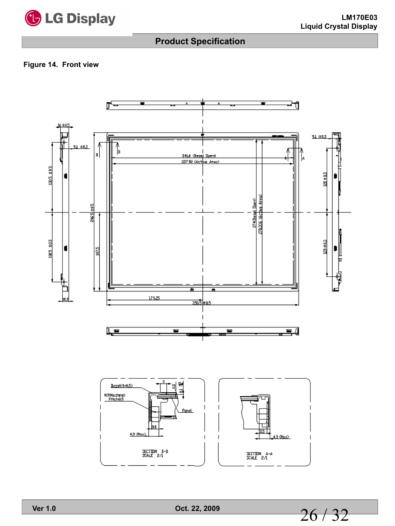

#### **Figure 14. Front view**



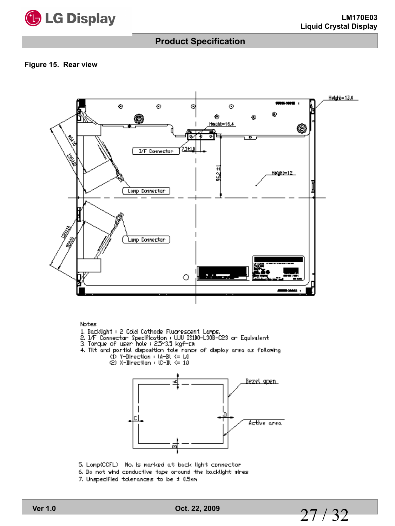

#### **Figure 15. Rear view**



#### Notes

- 
- 1. Backlight : 2 Cold Cathode Fluorescent Lamps.<br>2. I/F Connectar Specification : WU IS100-130B-C23 or Equivalent<br>3. Torque of user hole : 25–35 kgf-ch
- 
- 4. Tilt and partial disposition tole rance of display area as following (1) Y-Direction (14-BL <= 1.0)
	- ©2) X-Binection + IC-BL <= 1.0



- 5. Lomp(CCFL) No. is morked at back light connector
- 6. Do not whd conductive tope oround the backlight vires
- 7. Unspecified tolerances to be ± 0.5nm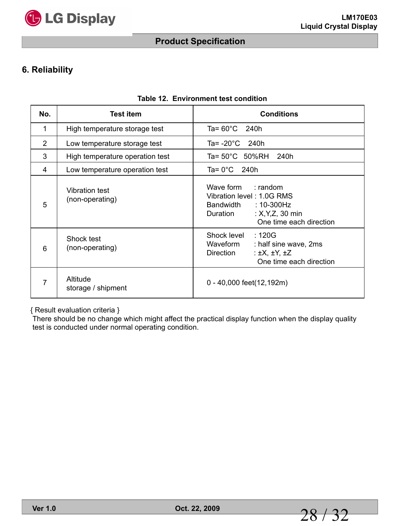

## **6. Reliability**

| No.            | <b>Test item</b>                  | <b>Conditions</b>                                                                                                                               |
|----------------|-----------------------------------|-------------------------------------------------------------------------------------------------------------------------------------------------|
| 1              | High temperature storage test     | Ta= $60^{\circ}$ C 240h                                                                                                                         |
| $\overline{2}$ | Low temperature storage test      | Ta= -20°C<br>240h                                                                                                                               |
| 3              | High temperature operation test   | Ta= 50°C 50%RH 240h                                                                                                                             |
| 4              | Low temperature operation test    | Ta= $0^{\circ}$ C 240h                                                                                                                          |
| 5              | Vibration test<br>(non-operating) | Wave form<br>$:$ random<br>Vibration level: 1.0G RMS<br>$:10-300$ Hz<br>Bandwidth<br>: $X, Y, Z, 30$ min<br>Duration<br>One time each direction |
| 6              | Shock test<br>(non-operating)     | :120G<br>Shock level<br>Waveform<br>: half sine wave, 2ms<br>: $\pm X$ , $\pm Y$ , $\pm Z$<br>Direction<br>One time each direction              |
| 7              | Altitude<br>storage / shipment    | 0 - 40,000 feet(12,192m)                                                                                                                        |

#### **Table 12. Environment test condition**

{ Result evaluation criteria }

There should be no change which might affect the practical display function when the display quality test is conducted under normal operating condition.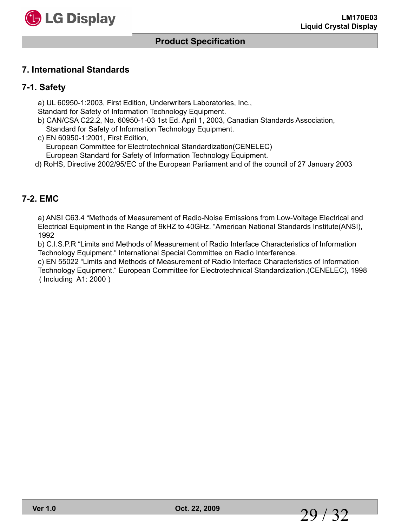

#### **7. International Standards**

#### **7-1. Safety**

a) UL 60950-1:2003, First Edition, Underwriters Laboratories, Inc.,

Standard for Safety of Information Technology Equipment.

b) CAN/CSA C22.2, No. 60950-1-03 1st Ed. April 1, 2003, Canadian Standards Association, Standard for Safety of Information Technology Equipment.

c) EN 60950-1:2001, First Edition, European Committee for Electrotechnical Standardization(CENELEC) European Standard for Safety of Information Technology Equipment.

d) RoHS, Directive 2002/95/EC of the European Parliament and of the council of 27 January 2003

#### **7-2. EMC**

a) ANSI C63.4 "Methods of Measurement of Radio-Noise Emissions from Low-Voltage Electrical and Electrical Equipment in the Range of 9kHZ to 40GHz. "American National Standards Institute(ANSI), 1992

b) C.I.S.P.R "Limits and Methods of Measurement of Radio Interface Characteristics of Information Technology Equipment." International Special Committee on Radio Interference.

c) EN 55022 "Limits and Methods of Measurement of Radio Interface Characteristics of Information Technology Equipment." European Committee for Electrotechnical Standardization.(CENELEC), 1998 ( Including A1: 2000 )

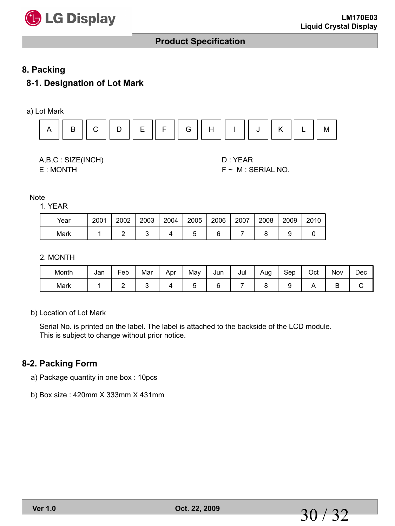

#### **8. Packing**

#### **8-1. Designation of Lot Mark**



A,B,C : SIZE(INCH) D : YEAR E : MONTH F ~ M : SERIAL NO.

**Note** 

1. YEAR

| Year | 2001 | 2002 | 2003 | 2004 | 2005 | 2006 | 2007 | 2008 | 2009 | 2010 |
|------|------|------|------|------|------|------|------|------|------|------|
| Mark |      |      |      |      |      |      |      |      |      |      |

#### 2. MONTH

| Month | Jan | Feb | Mar | Apr | Mav | Jun | Jul | Aug | Sep | Oct | Nov | Dec |
|-------|-----|-----|-----|-----|-----|-----|-----|-----|-----|-----|-----|-----|
| Mark  |     | -   |     |     |     |     |     |     |     |     | ◡   |     |

b) Location of Lot Mark

Serial No. is printed on the label. The label is attached to the backside of the LCD module. This is subject to change without prior notice.

#### **8-2. Packing Form**

a) Package quantity in one box : 10pcs

b) Box size : 420mm X 333mm X 431mm

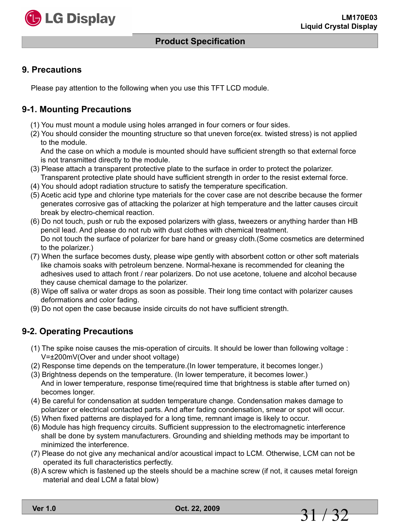

#### **Product Specification**

#### **9. Precautions**

Please pay attention to the following when you use this TFT LCD module.

#### **9-1. Mounting Precautions**

- (1) You must mount a module using holes arranged in four corners or four sides.
- (2) You should consider the mounting structure so that uneven force(ex. twisted stress) is not applied to the module.

 And the case on which a module is mounted should have sufficient strength so that external force is not transmitted directly to the module.

- (3) Please attach a transparent protective plate to the surface in order to protect the polarizer. Transparent protective plate should have sufficient strength in order to the resist external force.
- (4) You should adopt radiation structure to satisfy the temperature specification.
- (5) Acetic acid type and chlorine type materials for the cover case are not describe because the former generates corrosive gas of attacking the polarizer at high temperature and the latter causes circuit break by electro-chemical reaction.
- (6) Do not touch, push or rub the exposed polarizers with glass, tweezers or anything harder than HB pencil lead. And please do not rub with dust clothes with chemical treatment. Do not touch the surface of polarizer for bare hand or greasy cloth.(Some cosmetics are determined to the polarizer.)
- (7) When the surface becomes dusty, please wipe gently with absorbent cotton or other soft materials like chamois soaks with petroleum benzene. Normal-hexane is recommended for cleaning the adhesives used to attach front / rear polarizers. Do not use acetone, toluene and alcohol because they cause chemical damage to the polarizer.
- (8) Wipe off saliva or water drops as soon as possible. Their long time contact with polarizer causes deformations and color fading.
- (9) Do not open the case because inside circuits do not have sufficient strength.

#### **9-2. Operating Precautions**

- (1) The spike noise causes the mis-operation of circuits. It should be lower than following voltage : V=±200mV(Over and under shoot voltage)
- (2) Response time depends on the temperature.(In lower temperature, it becomes longer.)
- (3) Brightness depends on the temperature. (In lower temperature, it becomes lower.) And in lower temperature, response time(required time that brightness is stable after turned on) becomes longer.
- (4) Be careful for condensation at sudden temperature change. Condensation makes damage to polarizer or electrical contacted parts. And after fading condensation, smear or spot will occur.
- (5) When fixed patterns are displayed for a long time, remnant image is likely to occur.
- (6) Module has high frequency circuits. Sufficient suppression to the electromagnetic interference shall be done by system manufacturers. Grounding and shielding methods may be important to minimized the interference.
- (7) Please do not give any mechanical and/or acoustical impact to LCM. Otherwise, LCM can not be operated its full characteristics perfectly.
- (8) A screw which is fastened up the steels should be a machine screw (if not, it causes metal foreign material and deal LCM a fatal blow)